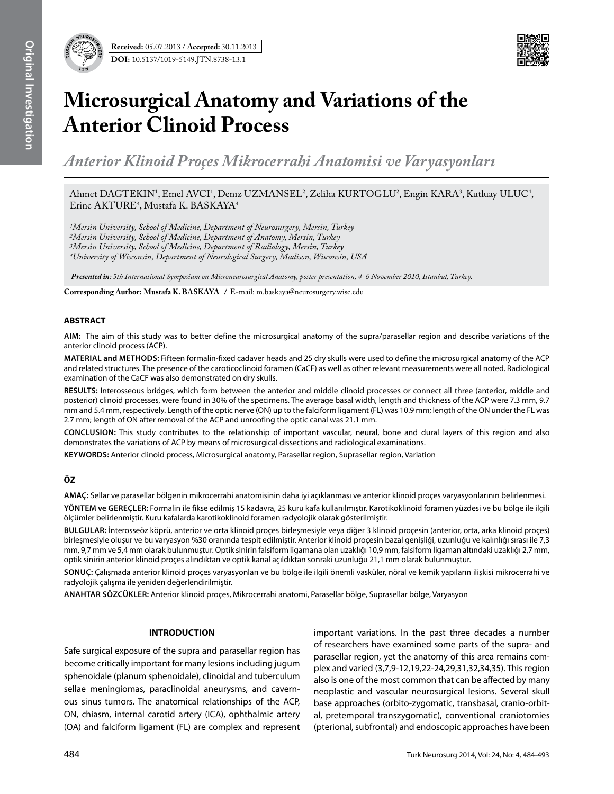

# **Microsurgical Anatomy and Variations of the Anterior Clinoid Process**

*Anterior Klinoid Proçes Mikrocerrahi Anatomisi ve Varyasyonları*

Ahmet DAGTEKIN<sup>1</sup>, Emel AVCI<sup>1</sup>, Denız UZMANSEL<sup>2</sup>, Zeliha KURTOGLU<sup>2</sup>, Engin KARA<sup>3</sup>, Kutluay ULUC<sup>4</sup>, Erinc AKTURE<sup>4</sup>, Mustafa K. BASKAYA<sup>4</sup>

*1Mersin University, School of Medicine, Department of Neurosurgery, Mersin, Turkey 2Mersin University, School of Medicine, Department of Anatomy, Mersin, Turkey 3Mersin University, School of Medicine, Department of Radiology, Mersin, Turkey 4University of Wisconsin, Department of Neurological Surgery, Madison, Wisconsin, USA* 

 *Presented in: 5th International Symposium on Microneurosurgical Anatomy, poster presentation, 4-6 November 2010, Istanbul, Turkey.*

**Corresponding Author: Mustafa K. Baskaya /** E-mail: m.baskaya@neurosurgery.wisc.edu

#### **ABSTRACT**

**AIm:** The aim of this study was to better define the microsurgical anatomy of the supra/parasellar region and describe variations of the anterior clinoid process (ACP).

**MaterIal and Methods:** Fifteen formalin-fixed cadaver heads and 25 dry skulls were used to define the microsurgical anatomy of the ACP and related structures. The presence of the caroticoclinoid foramen (CaCF) as well as other relevant measurements were all noted. Radiological examination of the CaCF was also demonstrated on dry skulls.

**Results:** Interosseous bridges, which form between the anterior and middle clinoid processes or connect all three (anterior, middle and posterior) clinoid processes, were found in 30% of the specimens. The average basal width, length and thickness of the ACP were 7.3 mm, 9.7 mm and 5.4 mm, respectively. Length of the optic nerve (ON) up to the falciform ligament (FL) was 10.9 mm; length of the ON under the FL was 2.7 mm; length of ON after removal of the ACP and unroofing the optic canal was 21.1 mm.

**ConclusIon:** This study contributes to the relationship of important vascular, neural, bone and dural layers of this region and also demonstrates the variations of ACP by means of microsurgical dissections and radiological examinations.

**Keywords:** Anterior clinoid process, Microsurgical anatomy, Parasellar region, Suprasellar region, Variation

### **ÖZ**

**AMAÇ:** Sellar ve parasellar bölgenin mikrocerrahi anatomisinin daha iyi açıklanması ve anterior klinoid proçes varyasyonlarının belirlenmesi.

**YÖNTEM ve GEREÇLER:** Formalin ile fikse edilmiş 15 kadavra, 25 kuru kafa kullanılmıştır. Karotikoklinoid foramen yüzdesi ve bu bölge ile ilgili ölçümler belirlenmiştir. Kuru kafalarda karotikoklinoid foramen radyolojik olarak gösterilmiştir.

**BULGULAR:** İnterosseöz köprü, anterior ve orta klinoid proçes birleşmesiyle veya diğer 3 klinoid proçesin (anterior, orta, arka klinoid proçes) birleşmesiyle oluşur ve bu varyasyon %30 oranında tespit edilmiştir. Anterior klinoid proçesin bazal genişliği, uzunluğu ve kalınlığı sırası ile 7,3 mm, 9,7 mm ve 5,4 mm olarak bulunmuştur. Optik sinirin falsiform ligamana olan uzaklığı 10,9 mm, falsiform ligaman altındaki uzaklığı 2,7 mm, optik sinirin anterior klinoid proçes alındıktan ve optik kanal açıldıktan sonraki uzunluğu 21,1 mm olarak bulunmuştur.

**SONUÇ:** Çalışmada anterior klinoid proçes varyasyonları ve bu bölge ile ilgili önemli vasküler, nöral ve kemik yapıların ilişkisi mikrocerrahi ve radyolojik çalışma ile yeniden değerlendirilmiştir.

**ANAHTAR SÖZCÜKLER:** Anterior klinoid proçes, Mikrocerrahi anatomi, Parasellar bölge, Suprasellar bölge, Varyasyon

### **INTRODUCTION**

Safe surgical exposure of the supra and parasellar region has become critically important for many lesions including jugum sphenoidale (planum sphenoidale), clinoidal and tuberculum sellae meningiomas, paraclinoidal aneurysms, and cavernous sinus tumors. The anatomical relationships of the ACP, ON, chiasm, internal carotid artery (ICA), ophthalmic artery (OA) and falciform ligament (FL) are complex and represent important variations. In the past three decades a number of researchers have examined some parts of the supra- and parasellar region, yet the anatomy of this area remains complex and varied (3,7,9-12,19,22-24,29,31,32,34,35). This region also is one of the most common that can be affected by many neoplastic and vascular neurosurgical lesions. Several skull base approaches (orbito-zygomatic, transbasal, cranio-orbital, pretemporal transzygomatic), conventional craniotomies (pterional, subfrontal) and endoscopic approaches have been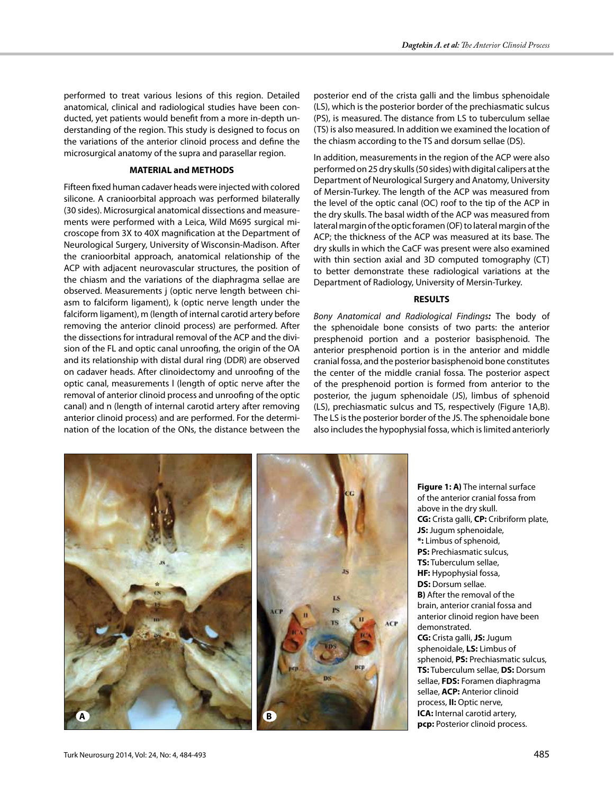performed to treat various lesions of this region. Detailed anatomical, clinical and radiological studies have been conducted, yet patients would benefit from a more in-depth understanding of the region. This study is designed to focus on the variations of the anterior clinoid process and define the microsurgical anatomy of the supra and parasellar region.

## **MATERIAL and METHODS**

Fifteen fixed human cadaver heads were injected with colored silicone. A cranioorbital approach was performed bilaterally (30 sides). Microsurgical anatomical dissections and measurements were performed with a Leica, Wild M695 surgical microscope from 3X to 40X magnification at the Department of Neurological Surgery, University of Wisconsin-Madison. After the cranioorbital approach, anatomical relationship of the ACP with adjacent neurovascular structures, the position of the chiasm and the variations of the diaphragma sellae are observed. Measurements j (optic nerve length between chiasm to falciform ligament), k (optic nerve length under the falciform ligament), m (length of internal carotid artery before removing the anterior clinoid process) are performed. After the dissections for intradural removal of the ACP and the division of the FL and optic canal unroofing, the origin of the OA and its relationship with distal dural ring (DDR) are observed on cadaver heads. After clinoidectomy and unroofing of the optic canal, measurements l (length of optic nerve after the removal of anterior clinoid process and unroofing of the optic canal) and n (length of internal carotid artery after removing anterior clinoid process) and are performed. For the determination of the location of the ONs, the distance between the

posterior end of the crista galli and the limbus sphenoidale (LS), which is the posterior border of the prechiasmatic sulcus (PS), is measured. The distance from LS to tuberculum sellae (TS) is also measured. In addition we examined the location of the chiasm according to the TS and dorsum sellae (DS).

In addition, measurements in the region of the ACP were also performed on 25 dry skulls (50 sides) with digital calipers at the Department of Neurological Surgery and Anatomy, University of Mersin-Turkey. The length of the ACP was measured from the level of the optic canal (OC) roof to the tip of the ACP in the dry skulls. The basal width of the ACP was measured from lateral margin of the optic foramen (OF) to lateral margin of the ACP; the thickness of the ACP was measured at its base. The dry skulls in which the CaCF was present were also examined with thin section axial and 3D computed tomography (CT) to better demonstrate these radiological variations at the Department of Radiology, University of Mersin-Turkey.

## **RESULTS**

*Bony Anatomical and Radiological Findings:* The body of the sphenoidale bone consists of two parts: the anterior presphenoid portion and a posterior basisphenoid. The anterior presphenoid portion is in the anterior and middle cranial fossa, and the posterior basisphenoid bone constitutes the center of the middle cranial fossa. The posterior aspect of the presphenoid portion is formed from anterior to the posterior, the jugum sphenoidale (JS), limbus of sphenoid (LS), prechiasmatic sulcus and TS, respectively (Figure 1A,B). The LS is the posterior border of the JS. The sphenoidale bone also includes the hypophysial fossa, which is limited anteriorly



**Figure 1: A)** The internal surface of the anterior cranial fossa from above in the dry skull. **CG:** Crista galli, **CP:** Cribriform plate, **JS:** Jugum sphenoidale, **\*:** Limbus of sphenoid, **PS:** Prechiasmatic sulcus, **TS:** Tuberculum sellae, **HF:** Hypophysial fossa, **DS:** Dorsum sellae. **B)** After the removal of the brain, anterior cranial fossa and anterior clinoid region have been demonstrated. **CG:** Crista galli, **JS:** Jugum sphenoidale, **LS:** Limbus of sphenoid, **PS:** Prechiasmatic sulcus, **TS:** Tuberculum sellae, **DS:** Dorsum sellae, **FDS:** Foramen diaphragma sellae, **ACP:** Anterior clinoid process, **II:** Optic nerve, **ICA:** Internal carotid artery, **pcp:** Posterior clinoid process.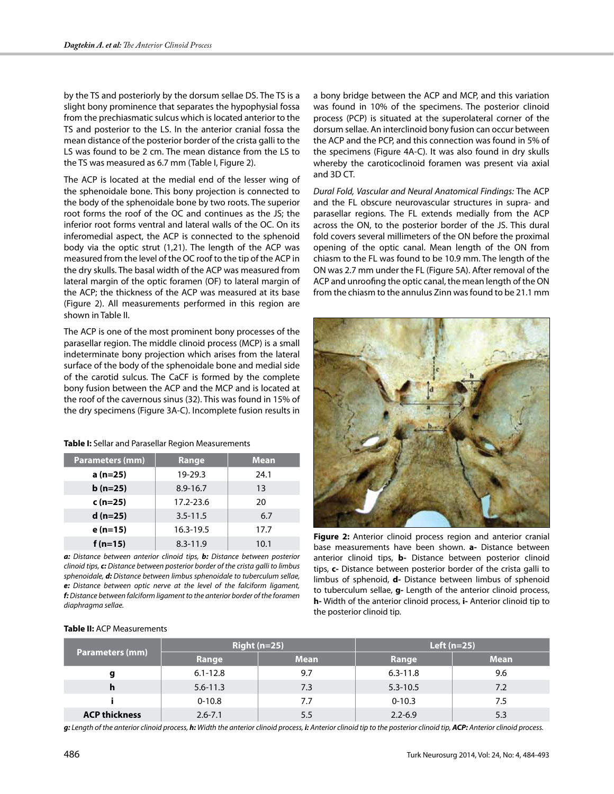by the TS and posteriorly by the dorsum sellae DS. The TS is a slight bony prominence that separates the hypophysial fossa from the prechiasmatic sulcus which is located anterior to the TS and posterior to the LS. In the anterior cranial fossa the mean distance of the posterior border of the crista galli to the LS was found to be 2 cm. The mean distance from the LS to the TS was measured as 6.7 mm (Table I, Figure 2).

The ACP is located at the medial end of the lesser wing of the sphenoidale bone. This bony projection is connected to the body of the sphenoidale bone by two roots. The superior root forms the roof of the OC and continues as the JS; the inferior root forms ventral and lateral walls of the OC. On its inferomedial aspect, the ACP is connected to the sphenoid body via the optic strut (1,21). The length of the ACP was measured from the level of the OC roof to the tip of the ACP in the dry skulls. The basal width of the ACP was measured from lateral margin of the optic foramen (OF) to lateral margin of the ACP; the thickness of the ACP was measured at its base (Figure 2). All measurements performed in this region are shown in Table II.

The ACP is one of the most prominent bony processes of the parasellar region. The middle clinoid process (MCP) is a small indeterminate bony projection which arises from the lateral surface of the body of the sphenoidale bone and medial side of the carotid sulcus. The CaCF is formed by the complete bony fusion between the ACP and the MCP and is located at the roof of the cavernous sinus (32). This was found in 15% of the dry specimens (Figure 3A-C). Incomplete fusion results in

| Table I: Sellar and Parasellar Region Measurements |  |  |
|----------------------------------------------------|--|--|
|----------------------------------------------------|--|--|

| <b>Parameters (mm)</b> | Range        | Mean |
|------------------------|--------------|------|
| a (n=25)               | 19-29.3      | 24.1 |
| $b(n=25)$              | $8.9 - 16.7$ | 13   |
| $c(n=25)$              | 17.2-23.6    | 20   |
| $d(n=25)$              | $3.5 - 11.5$ | 6.7  |
| e (n=15)               | 16.3-19.5    | 17.7 |
| $f(n=15)$              | $8.3 - 11.9$ | 10.1 |

*a: Distance between anterior clinoid tips, b: Distance between posterior clinoid tips, c: Distance between posterior border of the crista galli to limbus sphenoidale, d: Distance between limbus sphenoidale to tuberculum sellae, e: Distance between optic nerve at the level of the falciform ligament, f: Distance between falciform ligament to the anterior border of the foramen diaphragma sellae.*

**Table II:** ACP Measurements

a bony bridge between the ACP and MCP, and this variation was found in 10% of the specimens. The posterior clinoid process (PCP) is situated at the superolateral corner of the dorsum sellae. An interclinoid bony fusion can occur between the ACP and the PCP, and this connection was found in 5% of the specimens (Figure 4A-C). It was also found in dry skulls whereby the caroticoclinoid foramen was present via axial and 3D CT.

*Dural Fold, Vascular and Neural Anatomical Findings:* The ACP and the FL obscure neurovascular structures in supra- and parasellar regions. The FL extends medially from the ACP across the ON, to the posterior border of the JS. This dural fold covers several millimeters of the ON before the proximal opening of the optic canal. Mean length of the ON from chiasm to the FL was found to be 10.9 mm. The length of the ON was 2.7 mm under the FL (Figure 5A). After removal of the ACP and unroofing the optic canal, the mean length of the ON from the chiasm to the annulus Zinn was found to be 21.1 mm



**Figure 2:** Anterior clinoid process region and anterior cranial base measurements have been shown. **a-** Distance between anterior clinoid tips, **b-** Distance between posterior clinoid tips, **c-** Distance between posterior border of the crista galli to limbus of sphenoid, **d-** Distance between limbus of sphenoid to tuberculum sellae, **g-** Length of the anterior clinoid process, **h-** Width of the anterior clinoid process, **i-** Anterior clinoid tip to the posterior clinoid tip.

| <b>Parameters (mm)</b> | Right $(n=25)$ |             | Left $(n=25)$ |             |  |
|------------------------|----------------|-------------|---------------|-------------|--|
|                        | Range          | <b>Mean</b> | Range         | <b>Mean</b> |  |
| g                      | $6.1 - 12.8$   | 9.7         | $6.3 - 11.8$  | 9.6         |  |
| h                      | $5.6 - 11.3$   | 7.3         | $5.3 - 10.5$  | 7.2         |  |
|                        | $0 - 10.8$     | 7.7         | $0 - 10.3$    | 7.5         |  |
| <b>ACP thickness</b>   | $2.6 - 7.1$    | 5.5         | $2.2 - 6.9$   | 5.3         |  |

*g: Length of the anterior clinoid process, h: Width the anterior clinoid process, i: Anterior clinoid tip to the posterior clinoid tip, ACP: Anterior clinoid process.*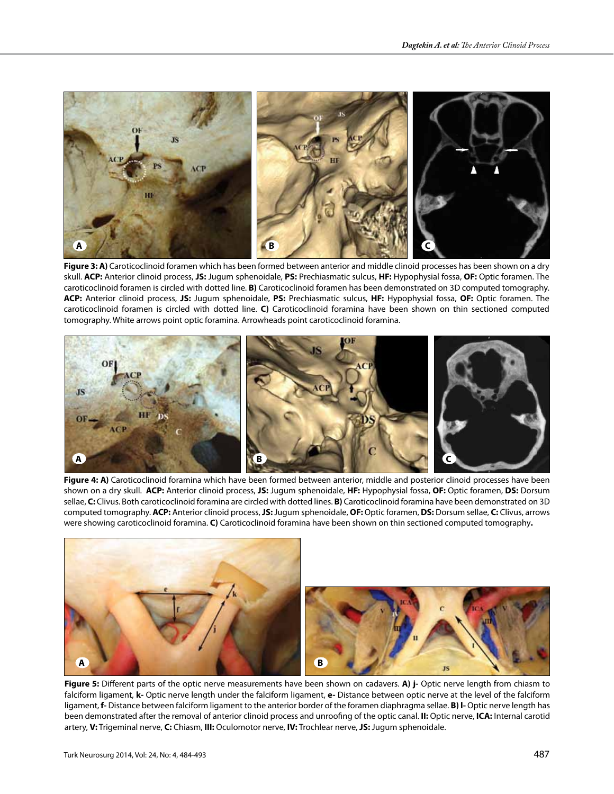

**Figure 3: A)** Caroticoclinoid foramen which has been formed between anterior and middle clinoid processes has been shown on a dry skull. **ACP:** Anterior clinoid process, **JS:** Jugum sphenoidale, **PS:** Prechiasmatic sulcus, **HF:** Hypophysial fossa, **OF:** Optic foramen. The caroticoclinoid foramen is circled with dotted line. **B)** Caroticoclinoid foramen has been demonstrated on 3D computed tomography. **ACP:** Anterior clinoid process, **JS:** Jugum sphenoidale, **PS:** Prechiasmatic sulcus, **HF:** Hypophysial fossa, **OF:** Optic foramen. The caroticoclinoid foramen is circled with dotted line. **C)** Caroticoclinoid foramina have been shown on thin sectioned computed tomography. White arrows point optic foramina. Arrowheads point caroticoclinoid foramina.



Figure 4: A) Caroticoclinoid foramina which have been formed between anterior, middle and posterior clinoid processes have been shown on a dry skull. **ACP:** Anterior clinoid process, **JS:** Jugum sphenoidale, **HF:** Hypophysial fossa, **OF:** Optic foramen, **DS:** Dorsum sellae, **C:** Clivus. Both caroticoclinoid foramina are circled with dotted lines. **B)** Caroticoclinoid foramina have been demonstrated on 3D computed tomography. **ACP:** Anterior clinoid process, **JS:** Jugum sphenoidale, **OF:** Optic foramen, **DS:** Dorsum sellae, **C:** Clivus, arrows were showing caroticoclinoid foramina. **C)** Caroticoclinoid foramina have been shown on thin sectioned computed tomography**.**



**Figure 5:** Different parts of the optic nerve measurements have been shown on cadavers. **A) j-** Optic nerve length from chiasm to falciform ligament, **k-** Optic nerve length under the falciform ligament, **e-** Distance between optic nerve at the level of the falciform ligament, **f-** Distance between falciform ligament to the anterior border of the foramen diaphragma sellae. **B) l-** Optic nerve length has been demonstrated after the removal of anterior clinoid process and unroofing of the optic canal. **II:** Optic nerve, **ICA:** Internal carotid artery, **V:** Trigeminal nerve, **C:** Chiasm, **III:** Oculomotor nerve, **IV:** Trochlear nerve, **JS:** Jugum sphenoidale.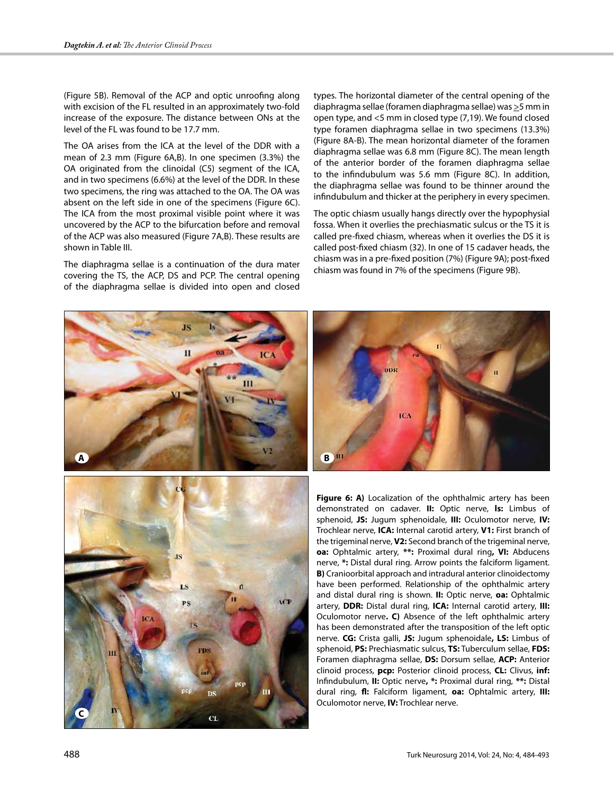(Figure 5B). Removal of the ACP and optic unroofing along with excision of the FL resulted in an approximately two-fold increase of the exposure. The distance between ONs at the level of the FL was found to be 17.7 mm.

The OA arises from the ICA at the level of the DDR with a mean of 2.3 mm (Figure 6A,B). In one specimen (3.3%) the OA originated from the clinoidal (C5) segment of the ICA, and in two specimens (6.6%) at the level of the DDR. In these two specimens, the ring was attached to the OA. The OA was absent on the left side in one of the specimens (Figure 6C). The ICA from the most proximal visible point where it was uncovered by the ACP to the bifurcation before and removal of the ACP was also measured (Figure 7A,B). These results are shown in Table III.

The diaphragma sellae is a continuation of the dura mater covering the TS, the ACP, DS and PCP. The central opening of the diaphragma sellae is divided into open and closed types. The horizontal diameter of the central opening of the diaphragma sellae (foramen diaphragma sellae) was >5 mm in open type, and <5 mm in closed type (7,19). We found closed type foramen diaphragma sellae in two specimens (13.3%) (Figure 8A-B). The mean horizontal diameter of the foramen diaphragma sellae was 6.8 mm (Figure 8C). The mean length of the anterior border of the foramen diaphragma sellae to the infindubulum was 5.6 mm (Figure 8C). In addition, the diaphragma sellae was found to be thinner around the infindubulum and thicker at the periphery in every specimen.

The optic chiasm usually hangs directly over the hypophysial fossa. When it overlies the prechiasmatic sulcus or the TS it is called pre-fixed chiasm, whereas when it overlies the DS it is called post-fixed chiasm (32). In one of 15 cadaver heads, the chiasm was in a pre-fixed position (7%) (Figure 9A); post-fixed chiasm was found in 7% of the specimens (Figure 9B).







**Figure 6: A)** Localization of the ophthalmic artery has been demonstrated on cadaver. **II:** Optic nerve, **ls:** Limbus of sphenoid, **JS:** Jugum sphenoidale, **III:** Oculomotor nerve, **IV:** Trochlear nerve, **ICA:** Internal carotid artery, **V1:** First branch of the trigeminal nerve, **V2:** Second branch of the trigeminal nerve, **oa:** Ophtalmic artery, **\*\*:** Proximal dural ring**, VI:** Abducens nerve, **\*:** Distal dural ring. Arrow points the falciform ligament. **B)** Cranioorbital approach and intradural anterior clinoidectomy have been performed. Relationship of the ophthalmic artery and distal dural ring is shown. **II:** Optic nerve, **oa:** Ophtalmic artery, **DDR:** Distal dural ring, **ICA:** Internal carotid artery, **III:** Oculomotor nerve**. C)** Absence of the left ophthalmic artery has been demonstrated after the transposition of the left optic nerve. **CG:** Crista galli, **JS:** Jugum sphenoidale**, LS:** Limbus of sphenoid, **PS:** Prechiasmatic sulcus, **TS:** Tuberculum sellae, **FDS:** Foramen diaphragma sellae, **DS:** Dorsum sellae, **ACP:** Anterior clinoid process, **pcp:** Posterior clinoid process, **CL:** Clivus, **inf:** Infindubulum, **II:** Optic nerve**, \*:** Proximal dural ring, **\*\*:** Distal dural ring, **fl:** Falciform ligament, **oa:** Ophtalmic artery, **III:** Oculomotor nerve, **IV:** Trochlear nerve.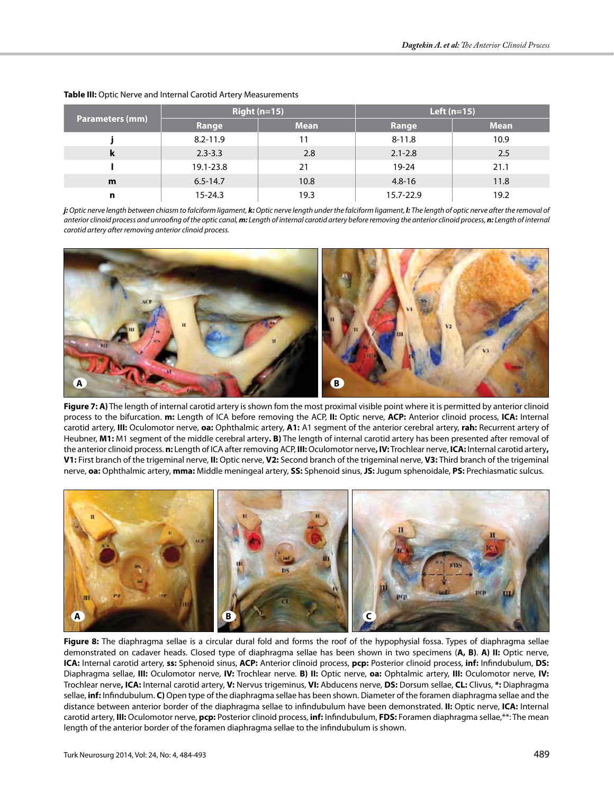| <b>Parameters (mm)</b> | $Right(n=15)$ |             | Left $(n=15)$ |             |
|------------------------|---------------|-------------|---------------|-------------|
|                        | Range         | <b>Mean</b> | Range         | <b>Mean</b> |
|                        | $8.2 - 11.9$  | 11          | $8 - 11.8$    | 10.9        |
| k                      | $2.3 - 3.3$   | 2.8         | $2.1 - 2.8$   | 2.5         |
|                        | 19.1-23.8     | 21          | $19 - 24$     | 21.1        |
| m                      | $6.5 - 14.7$  | 10.8        | $4.8 - 16$    | 11.8        |
| n                      | $15 - 24.3$   | 19.3        | 15.7-22.9     | 19.2        |

#### **Table III:** Optic Nerve and Internal Carotid Artery Measurements

*j: Optic nerve length between chiasm to falciform ligament, k: Optic nerve length under the falciform ligament, l: The length of optic nerve after the removal of anterior clinoid process and unroofing of the optic canal, m: Length of internal carotid artery before removing the anterior clinoid process, n: Length of internal carotid artery after removing anterior clinoid process.*



**Figure 7: A)** The length of internal carotid artery is shown fom the most proximal visible point where it is permitted by anterior clinoid process to the bifurcation. **m:** Length of ICA before removing the ACP, **II:** Optic nerve, **ACP:** Anterior clinoid process, **ICA:** Internal carotid artery, **III:** Oculomotor nerve, **oa:** Ophthalmic artery, **A1:** A1 segment of the anterior cerebral artery, **rah:** Recurrent artery of Heubner, **M1:** M1 segment of the middle cerebral artery**. B)** The length of internal carotid artery has been presented after removal of the anterior clinoid process. **n:** Length of ICA after removing ACP, **III:** Oculomotor nerve**, IV:** Trochlear nerve, **ICA:** Internal carotid artery**, V1:** First branch of the trigeminal nerve, **II:** Optic nerve, **V2:** Second branch of the trigeminal nerve, **V3:** Third branch of the trigeminal nerve, **oa:** Ophthalmic artery, **mma:** Middle meningeal artery, **SS:** Sphenoid sinus, **JS:** Jugum sphenoidale, **PS:** Prechiasmatic sulcus.



**Figure 8:** The diaphragma sellae is a circular dural fold and forms the roof of the hypophysial fossa. Types of diaphragma sellae demonstrated on cadaver heads. Closed type of diaphragma sellae has been shown in two specimens (**A, B)**. **A) II:** Optic nerve, **ICA:** Internal carotid artery, **ss:** Sphenoid sinus, **ACP:** Anterior clinoid process, **pcp:** Posterior clinoid process, **inf:** Infindubulum, **DS:** Diaphragma sellae, **III:** Oculomotor nerve, **IV:** Trochlear nerve. **B) II:** Optic nerve, **oa:** Ophtalmic artery, **III:** Oculomotor nerve, **IV:** Trochlear nerve**, ICA:** Internal carotid artery, **V:** Nervus trigeminus, **VI:** Abducens nerve, **DS:** Dorsum sellae, **CL:** Clivus, **\*:** Diaphragma sellae, **inf:** Infindubulum. **C)** Open type of the diaphragma sellae has been shown. Diameter of the foramen diaphragma sellae and the distance between anterior border of the diaphragma sellae to infindubulum have been demonstrated. **II:** Optic nerve, **ICA:** Internal carotid artery, **III:** Oculomotor nerve, **pcp:** Posterior clinoid process, **inf:** Infindubulum, **FDS:** Foramen diaphragma sellae,\*\*: The mean length of the anterior border of the foramen diaphragma sellae to the infindubulum is shown.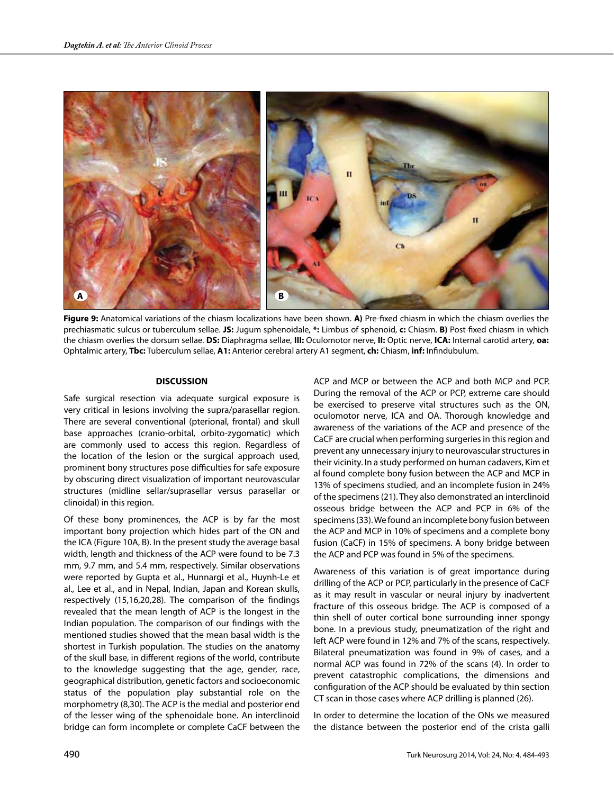

**Figure 9:** Anatomical variations of the chiasm localizations have been shown. **A)** Pre-fixed chiasm in which the chiasm overlies the prechiasmatic sulcus or tuberculum sellae. **JS:** Jugum sphenoidale, **\*:** Limbus of sphenoid, **c:** Chiasm. **B)** Post-fixed chiasm in which the chiasm overlies the dorsum sellae. **DS:** Diaphragma sellae, **III:** Oculomotor nerve, **II:** Optic nerve, **ICA:** Internal carotid artery, **oa:** Ophtalmic artery, **Tbc:** Tuberculum sellae, **A1:** Anterior cerebral artery A1 segment, **ch:** Chiasm, **inf:** Infindubulum.

#### **DISCUSSION**

Safe surgical resection via adequate surgical exposure is very critical in lesions involving the supra/parasellar region. There are several conventional (pterional, frontal) and skull base approaches (cranio-orbital, orbito-zygomatic) which are commonly used to access this region. Regardless of the location of the lesion or the surgical approach used, prominent bony structures pose difficulties for safe exposure by obscuring direct visualization of important neurovascular structures (midline sellar/suprasellar versus parasellar or clinoidal) in this region.

Of these bony prominences, the ACP is by far the most important bony projection which hides part of the ON and the ICA (Figure 10A, B). In the present study the average basal width, length and thickness of the ACP were found to be 7.3 mm, 9.7 mm, and 5.4 mm, respectively. Similar observations were reported by Gupta et al., Hunnargi et al., Huynh-Le et al., Lee et al., and in Nepal, Indian, Japan and Korean skulls, respectively (15,16,20,28). The comparison of the findings revealed that the mean length of ACP is the longest in the Indian population. The comparison of our findings with the mentioned studies showed that the mean basal width is the shortest in Turkish population. The studies on the anatomy of the skull base, in different regions of the world, contribute to the knowledge suggesting that the age, gender, race, geographical distribution, genetic factors and socioeconomic status of the population play substantial role on the morphometry (8,30). The ACP is the medial and posterior end of the lesser wing of the sphenoidale bone. An interclinoid bridge can form incomplete or complete CaCF between the ACP and MCP or between the ACP and both MCP and PCP. During the removal of the ACP or PCP, extreme care should be exercised to preserve vital structures such as the ON, oculomotor nerve, ICA and OA. Thorough knowledge and awareness of the variations of the ACP and presence of the CaCF are crucial when performing surgeries in this region and prevent any unnecessary injury to neurovascular structures in their vicinity. In a study performed on human cadavers, Kim et al found complete bony fusion between the ACP and MCP in 13% of specimens studied, and an incomplete fusion in 24% of the specimens (21). They also demonstrated an interclinoid osseous bridge between the ACP and PCP in 6% of the specimens (33). We found an incomplete bony fusion between the ACP and MCP in 10% of specimens and a complete bony fusion (CaCF) in 15% of specimens. A bony bridge between the ACP and PCP was found in 5% of the specimens.

Awareness of this variation is of great importance during drilling of the ACP or PCP, particularly in the presence of CaCF as it may result in vascular or neural injury by inadvertent fracture of this osseous bridge. The ACP is composed of a thin shell of outer cortical bone surrounding inner spongy bone. In a previous study, pneumatization of the right and left ACP were found in 12% and 7% of the scans, respectively. Bilateral pneumatization was found in 9% of cases, and a normal ACP was found in 72% of the scans (4). In order to prevent catastrophic complications, the dimensions and configuration of the ACP should be evaluated by thin section CT scan in those cases where ACP drilling is planned (26).

In order to determine the location of the ONs we measured the distance between the posterior end of the crista galli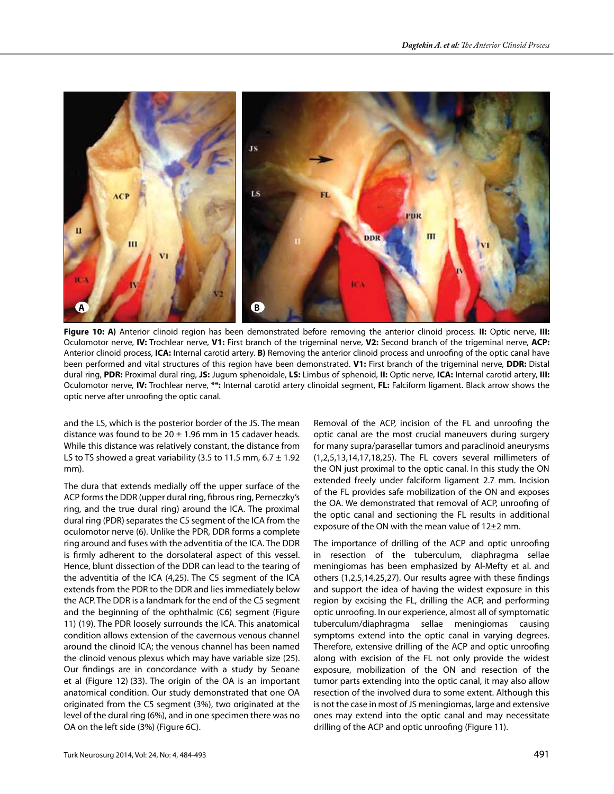

**Figure 10: A)** Anterior clinoid region has been demonstrated before removing the anterior clinoid process. **II:** Optic nerve, **III:** Oculomotor nerve, **IV:** Trochlear nerve, **V1:** First branch of the trigeminal nerve, **V2:** Second branch of the trigeminal nerve, **ACP:** Anterior clinoid process, **ICA:** Internal carotid artery. **B)** Removing the anterior clinoid process and unroofing of the optic canal have been performed and vital structures of this region have been demonstrated. **V1:** First branch of the trigeminal nerve, **DDR:** Distal dural ring, **PDR:** Proximal dural ring, **JS:** Jugum sphenoidale, **LS:** Limbus of sphenoid, **II:** Optic nerve, **ICA:** Internal carotid artery, **III:** Oculomotor nerve, **IV:** Trochlear nerve, \*\***:** Internal carotid artery clinoidal segment, **FL:** Falciform ligament. Black arrow shows the optic nerve after unroofing the optic canal.

and the LS, which is the posterior border of the JS. The mean distance was found to be  $20 \pm 1.96$  mm in 15 cadaver heads. While this distance was relatively constant, the distance from LS to TS showed a great variability (3.5 to 11.5 mm, 6.7  $\pm$  1.92 mm).

The dura that extends medially off the upper surface of the ACP forms the DDR (upper dural ring, fibrous ring, Perneczky's ring, and the true dural ring) around the ICA. The proximal dural ring (PDR) separates the C5 segment of the ICA from the oculomotor nerve (6). Unlike the PDR, DDR forms a complete ring around and fuses with the adventitia of the ICA. The DDR is firmly adherent to the dorsolateral aspect of this vessel. Hence, blunt dissection of the DDR can lead to the tearing of the adventitia of the ICA (4,25). The C5 segment of the ICA extends from the PDR to the DDR and lies immediately below the ACP. The DDR is a landmark for the end of the C5 segment and the beginning of the ophthalmic (C6) segment (Figure 11) (19). The PDR loosely surrounds the ICA. This anatomical condition allows extension of the cavernous venous channel around the clinoid ICA; the venous channel has been named the clinoid venous plexus which may have variable size (25). Our findings are in concordance with a study by Seoane et al (Figure 12) (33). The origin of the OA is an important anatomical condition. Our study demonstrated that one OA originated from the C5 segment (3%), two originated at the level of the dural ring (6%), and in one specimen there was no OA on the left side (3%) (Figure 6C).

Removal of the ACP, incision of the FL and unroofing the optic canal are the most crucial maneuvers during surgery for many supra/parasellar tumors and paraclinoid aneurysms (1,2,5,13,14,17,18,25). The FL covers several millimeters of the ON just proximal to the optic canal. In this study the ON extended freely under falciform ligament 2.7 mm. Incision of the FL provides safe mobilization of the ON and exposes the OA. We demonstrated that removal of ACP, unroofing of the optic canal and sectioning the FL results in additional exposure of the ON with the mean value of 12±2 mm.

The importance of drilling of the ACP and optic unroofing in resection of the tuberculum, diaphragma sellae meningiomas has been emphasized by Al-Mefty et al. and others (1,2,5,14,25,27). Our results agree with these findings and support the idea of having the widest exposure in this region by excising the FL, drilling the ACP, and performing optic unroofing. In our experience, almost all of symptomatic tuberculum/diaphragma sellae meningiomas causing symptoms extend into the optic canal in varying degrees. Therefore, extensive drilling of the ACP and optic unroofing along with excision of the FL not only provide the widest exposure, mobilization of the ON and resection of the tumor parts extending into the optic canal, it may also allow resection of the involved dura to some extent. Although this is not the case in most of JS meningiomas, large and extensive ones may extend into the optic canal and may necessitate drilling of the ACP and optic unroofing (Figure 11).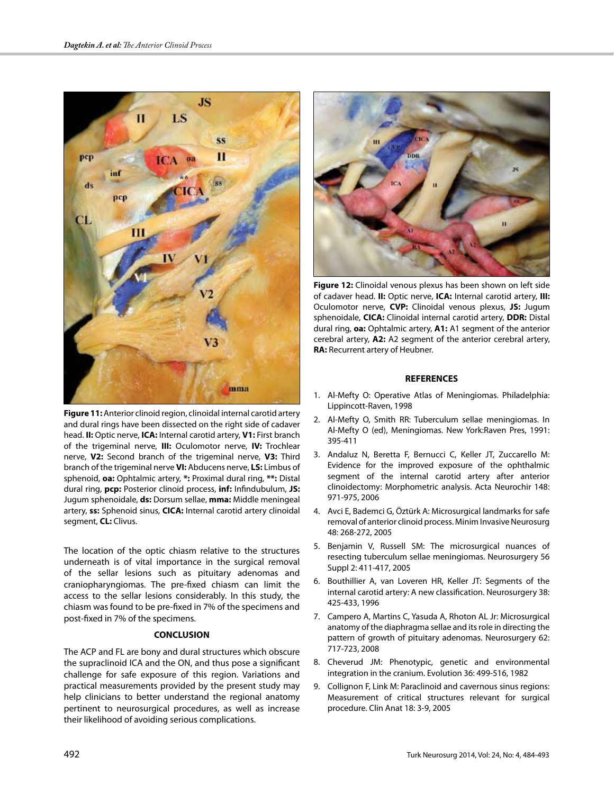

**Figure 11:** Anterior clinoid region, clinoidal internal carotid artery and dural rings have been dissected on the right side of cadaver head. **II:** Optic nerve, **ICA:** Internal carotid artery, **V1:** First branch of the trigeminal nerve, **III:** Oculomotor nerve, **IV:** Trochlear nerve, **V2:** Second branch of the trigeminal nerve, **V3:** Third branch of the trigeminal nerve **VI:** Abducens nerve, **LS:** Limbus of sphenoid, **oa:** Ophtalmic artery, **\*:** Proximal dural ring, **\*\*:** Distal dural ring, **pcp:** Posterior clinoid process, **inf:** Infindubulum, **JS:**  Jugum sphenoidale, **ds:** Dorsum sellae, **mma:** Middle meningeal artery, **ss:** Sphenoid sinus, **CICA:** Internal carotid artery clinoidal segment, **CL:** Clivus.

The location of the optic chiasm relative to the structures underneath is of vital importance in the surgical removal of the sellar lesions such as pituitary adenomas and craniopharyngiomas. The pre-fixed chiasm can limit the access to the sellar lesions considerably. In this study, the chiasm was found to be pre-fixed in 7% of the specimens and post-fixed in 7% of the specimens.

# **CONCLUSION**

The ACP and FL are bony and dural structures which obscure the supraclinoid ICA and the ON, and thus pose a significant challenge for safe exposure of this region. Variations and practical measurements provided by the present study may help clinicians to better understand the regional anatomy pertinent to neurosurgical procedures, as well as increase their likelihood of avoiding serious complications.



**Figure 12:** Clinoidal venous plexus has been shown on left side of cadaver head. **II:** Optic nerve, **ICA:** Internal carotid artery, **III:**  Oculomotor nerve, **CVP:** Clinoidal venous plexus, **JS:** Jugum sphenoidale, **CICA:** Clinoidal internal carotid artery, **DDR:** Distal dural ring, **oa:** Ophtalmic artery, **A1:** A1 segment of the anterior cerebral artery, **A2:** A2 segment of the anterior cerebral artery, **RA:** Recurrent artery of Heubner.

## **REFERENCES**

- 1. Al-Mefty O: Operative Atlas of Meningiomas. Philadelphia: Lippincott-Raven, 1998
- 2. Al-Mefty O, Smith RR: Tuberculum sellae meningiomas. In Al-Mefty O (ed), Meningiomas. New York:Raven Pres, 1991: 395-411
- 3. Andaluz N, Beretta F, Bernucci C, Keller JT, Zuccarello M: Evidence for the improved exposure of the ophthalmic segment of the internal carotid artery after anterior clinoidectomy: Morphometric analysis. Acta Neurochir 148: 971-975, 2006
- 4. Avci E, Bademci G, Öztürk A: Microsurgical landmarks for safe removal of anterior clinoid process. Minim Invasive Neurosurg 48: 268-272, 2005
- 5. Benjamin V, Russell SM: The microsurgical nuances of resecting tuberculum sellae meningiomas. Neurosurgery 56 Suppl 2: 411-417, 2005
- 6. Bouthillier A, van Loveren HR, Keller JT: Segments of the internal carotid artery: A new classification. Neurosurgery 38: 425-433, 1996
- 7. Campero A, Martins C, Yasuda A, Rhoton AL Jr: Microsurgical anatomy of the diaphragma sellae and its role in directing the pattern of growth of pituitary adenomas. Neurosurgery 62: 717-723, 2008
- 8. Cheverud JM: Phenotypic, genetic and environmental integration in the cranium. Evolution 36: 499-516, 1982
- 9. Collignon F, Link M: Paraclinoid and cavernous sinus regions: Measurement of critical structures relevant for surgical procedure. Clin Anat 18: 3-9, 2005